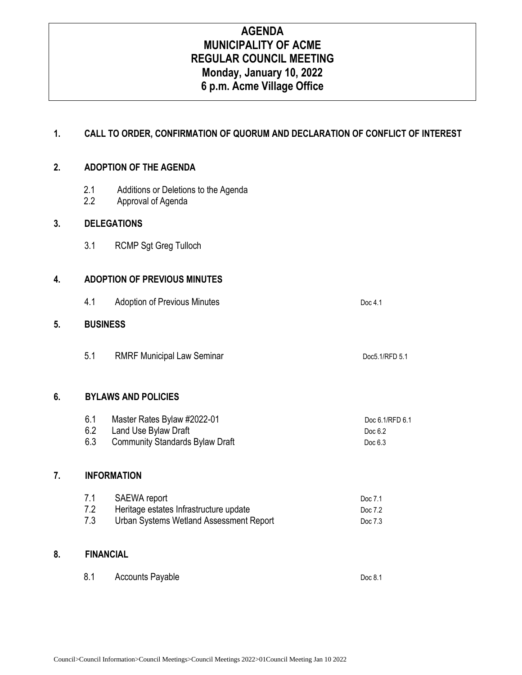# **AGENDA MUNICIPALITY OF ACME REGULAR COUNCIL MEETING Monday, January 10, 2022 6 p.m. Acme Village Office**

## **1. CALL TO ORDER, CONFIRMATION OF QUORUM AND DECLARATION OF CONFLICT OF INTEREST**

## **2. ADOPTION OF THE AGENDA**

- 2.1 Additions or Deletions to the Agenda
- 2.2 Approval of Agenda

## **3. DELEGATIONS**

3.1 RCMP Sgt Greg Tulloch

## **4. ADOPTION OF PREVIOUS MINUTES**

4.1 Adoption of Previous Minutes **Doc 4.1** Doc 4.1

#### **5. BUSINESS**

5.1 RMRF Municipal Law Seminar Doc5.1/RFD 5.1

#### **6. BYLAWS AND POLICIES**

| 6.1 | Master Rates Bylaw #2022-01            | Doc 6.1/RFD 6.1 |
|-----|----------------------------------------|-----------------|
|     | Land Use Bylaw Draft                   | Doc 6.2         |
|     | <b>Community Standards Bylaw Draft</b> | Doc $6.3$       |

#### **7. INFORMATION**

| 7.1 | SAEWA report                            | Doc 7.1 |
|-----|-----------------------------------------|---------|
| 7.2 | Heritage estates Infrastructure update  | Doc 7.2 |
| 7.3 | Urban Systems Wetland Assessment Report | Doc 7.3 |

## **8. FINANCIAL**

| 8.1<br><b>Accounts Payable</b> | Doc 8.1 |
|--------------------------------|---------|
|--------------------------------|---------|